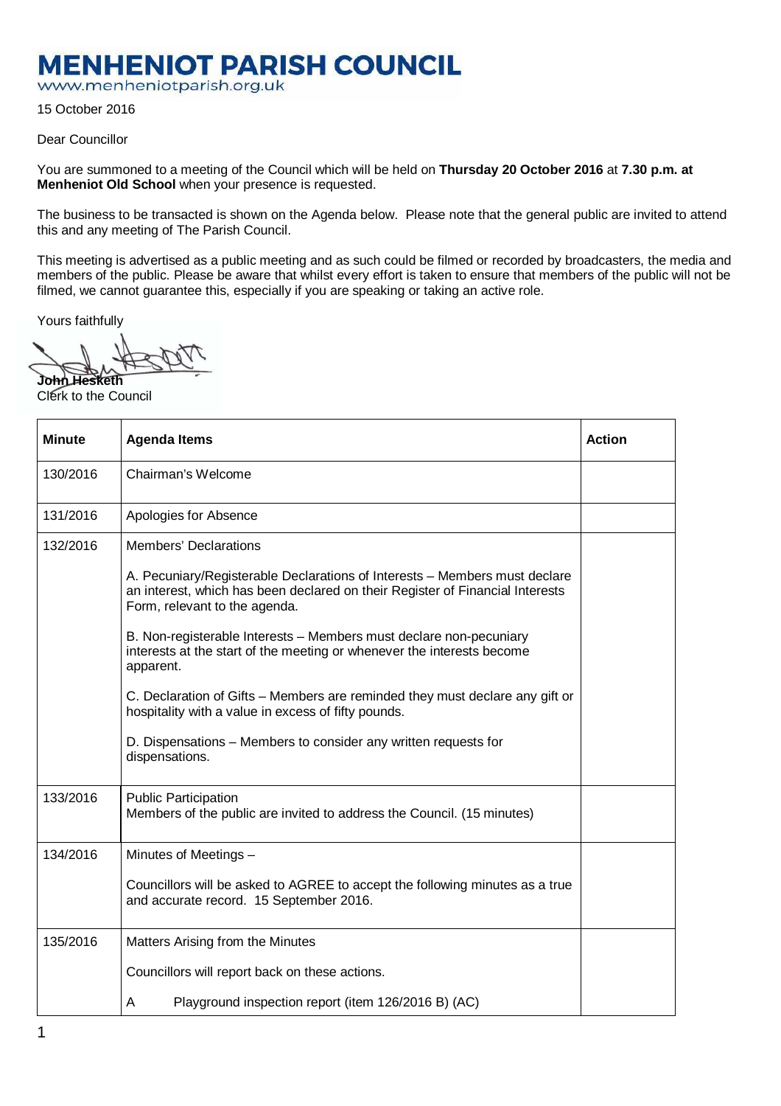## **MENHENIOT PARISH COUNCIL**

www.menheniotparish.org.uk

## 15 October 2016

## Dear Councillor

You are summoned to a meeting of the Council which will be held on **Thursday 20 October 2016** at **7.30 p.m. at Menheniot Old School** when your presence is requested.

The business to be transacted is shown on the Agenda below. Please note that the general public are invited to attend this and any meeting of The Parish Council.

This meeting is advertised as a public meeting and as such could be filmed or recorded by broadcasters, the media and members of the public. Please be aware that whilst every effort is taken to ensure that members of the public will not be filmed, we cannot guarantee this, especially if you are speaking or taking an active role.

Yours faithfully

**John Hesketh** 

Clerk to the Council

| <b>Minute</b> | <b>Agenda Items</b>                                                                                                                                                                          | <b>Action</b> |
|---------------|----------------------------------------------------------------------------------------------------------------------------------------------------------------------------------------------|---------------|
| 130/2016      | Chairman's Welcome                                                                                                                                                                           |               |
| 131/2016      | Apologies for Absence                                                                                                                                                                        |               |
| 132/2016      | <b>Members' Declarations</b>                                                                                                                                                                 |               |
|               | A. Pecuniary/Registerable Declarations of Interests - Members must declare<br>an interest, which has been declared on their Register of Financial Interests<br>Form, relevant to the agenda. |               |
|               | B. Non-registerable Interests - Members must declare non-pecuniary<br>interests at the start of the meeting or whenever the interests become<br>apparent.                                    |               |
|               | C. Declaration of Gifts - Members are reminded they must declare any gift or<br>hospitality with a value in excess of fifty pounds.                                                          |               |
|               | D. Dispensations - Members to consider any written requests for<br>dispensations.                                                                                                            |               |
| 133/2016      | <b>Public Participation</b><br>Members of the public are invited to address the Council. (15 minutes)                                                                                        |               |
| 134/2016      | Minutes of Meetings -                                                                                                                                                                        |               |
|               | Councillors will be asked to AGREE to accept the following minutes as a true<br>and accurate record. 15 September 2016.                                                                      |               |
| 135/2016      | Matters Arising from the Minutes                                                                                                                                                             |               |
|               | Councillors will report back on these actions.                                                                                                                                               |               |
|               | Playground inspection report (item 126/2016 B) (AC)<br>A                                                                                                                                     |               |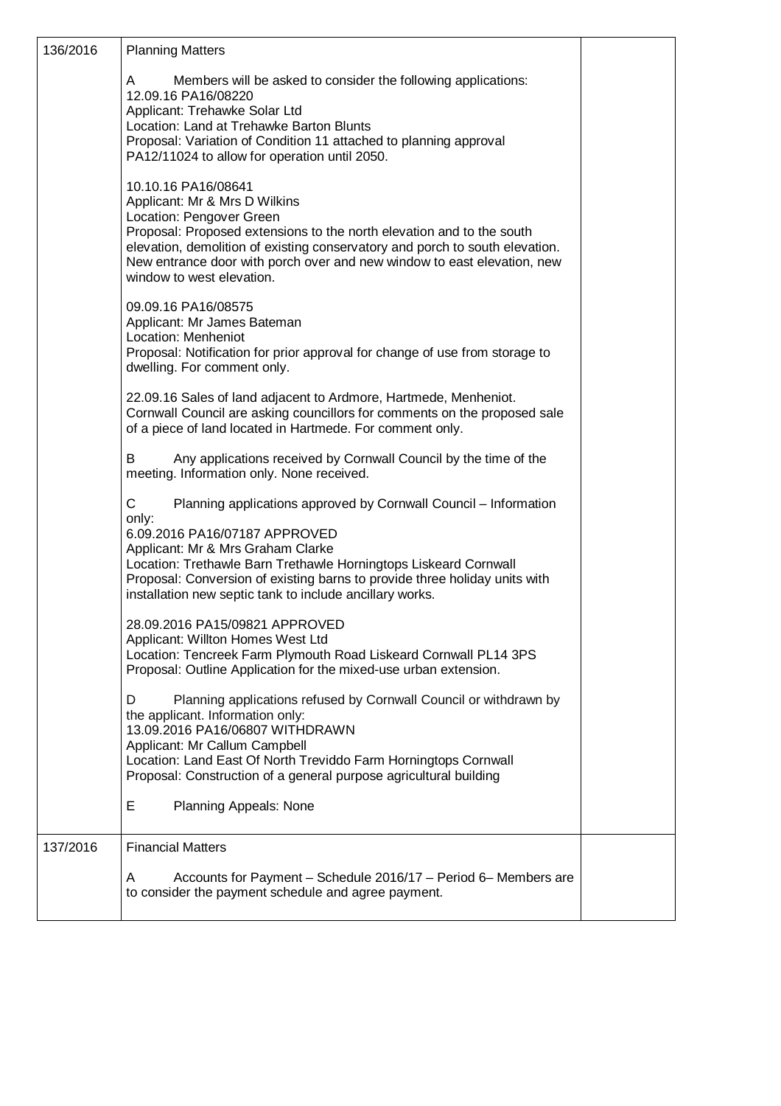| 136/2016 | <b>Planning Matters</b>                                                                                                                                                                                                                                                                                                                                            |  |
|----------|--------------------------------------------------------------------------------------------------------------------------------------------------------------------------------------------------------------------------------------------------------------------------------------------------------------------------------------------------------------------|--|
|          | A<br>Members will be asked to consider the following applications:<br>12.09.16 PA16/08220<br>Applicant: Trehawke Solar Ltd<br>Location: Land at Trehawke Barton Blunts<br>Proposal: Variation of Condition 11 attached to planning approval<br>PA12/11024 to allow for operation until 2050.                                                                       |  |
|          | 10.10.16 PA16/08641<br>Applicant: Mr & Mrs D Wilkins<br>Location: Pengover Green<br>Proposal: Proposed extensions to the north elevation and to the south<br>elevation, demolition of existing conservatory and porch to south elevation.<br>New entrance door with porch over and new window to east elevation, new<br>window to west elevation.                  |  |
|          | 09.09.16 PA16/08575<br>Applicant: Mr James Bateman<br>Location: Menheniot<br>Proposal: Notification for prior approval for change of use from storage to<br>dwelling. For comment only.                                                                                                                                                                            |  |
|          | 22.09.16 Sales of land adjacent to Ardmore, Hartmede, Menheniot.<br>Cornwall Council are asking councillors for comments on the proposed sale<br>of a piece of land located in Hartmede. For comment only.                                                                                                                                                         |  |
|          | Any applications received by Cornwall Council by the time of the<br>B<br>meeting. Information only. None received.                                                                                                                                                                                                                                                 |  |
|          | С<br>Planning applications approved by Cornwall Council - Information<br>only:<br>6.09.2016 PA16/07187 APPROVED<br>Applicant: Mr & Mrs Graham Clarke<br>Location: Trethawle Barn Trethawle Horningtops Liskeard Cornwall<br>Proposal: Conversion of existing barns to provide three holiday units with<br>installation new septic tank to include ancillary works. |  |
|          | 28.09.2016 PA15/09821 APPROVED<br>Applicant: Willton Homes West Ltd<br>Location: Tencreek Farm Plymouth Road Liskeard Cornwall PL14 3PS<br>Proposal: Outline Application for the mixed-use urban extension.                                                                                                                                                        |  |
|          | Planning applications refused by Cornwall Council or withdrawn by<br>D<br>the applicant. Information only:<br>13.09.2016 PA16/06807 WITHDRAWN<br>Applicant: Mr Callum Campbell<br>Location: Land East Of North Treviddo Farm Horningtops Cornwall<br>Proposal: Construction of a general purpose agricultural building                                             |  |
|          | Е<br>Planning Appeals: None                                                                                                                                                                                                                                                                                                                                        |  |
| 137/2016 | <b>Financial Matters</b><br>Accounts for Payment - Schedule 2016/17 - Period 6- Members are<br>A<br>to consider the payment schedule and agree payment.                                                                                                                                                                                                            |  |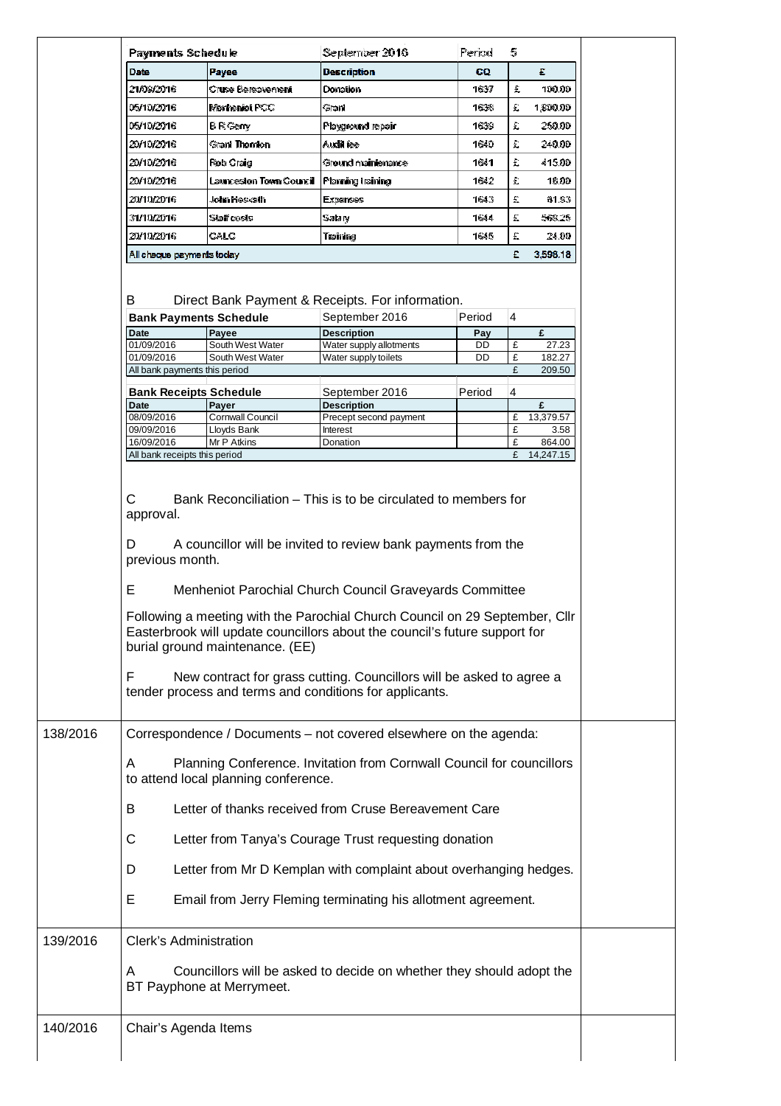|          | Payments Schedule                                                                                                                                                                                                                                                                                                                    |                           | September 2016<br>5<br>Period                                     |           |        |                     |  |  |
|----------|--------------------------------------------------------------------------------------------------------------------------------------------------------------------------------------------------------------------------------------------------------------------------------------------------------------------------------------|---------------------------|-------------------------------------------------------------------|-----------|--------|---------------------|--|--|
|          | Date                                                                                                                                                                                                                                                                                                                                 | Payee                     | <b>Description</b>                                                | 60.       |        | £                   |  |  |
|          | 21/09/2016                                                                                                                                                                                                                                                                                                                           | Cruse Bereavement.        | Donation                                                          | 1637      | £      | 100.00              |  |  |
|          | 05/10/2016                                                                                                                                                                                                                                                                                                                           | Menhenioi PCC             | Grant                                                             | 1638      | £      | 1,800.00            |  |  |
|          | 05/10/2016                                                                                                                                                                                                                                                                                                                           | BR Geny                   | Playground repair                                                 | 1639      | £      | 250.00              |  |  |
|          | 20/10/2016                                                                                                                                                                                                                                                                                                                           | Grant Thomkon             | Audil fee                                                         | 1640.     | £      | 240.00              |  |  |
|          |                                                                                                                                                                                                                                                                                                                                      |                           |                                                                   |           | £      |                     |  |  |
|          | 20/10/2016                                                                                                                                                                                                                                                                                                                           | Rob Craig                 | Ground maintenance                                                | 1641      |        | 415.00              |  |  |
|          | 20/10/2016                                                                                                                                                                                                                                                                                                                           | Launcesion Town Council   | Planning training                                                 | 1642      | £      | 18.00               |  |  |
|          | 20/10/2016                                                                                                                                                                                                                                                                                                                           | John Heskath I            | Expenses                                                          | 1643      | £      | 81.S3               |  |  |
|          | 31/10/2016                                                                                                                                                                                                                                                                                                                           | Slaff costs               | Salary                                                            | 1644      | £      | 568.25              |  |  |
|          | 20/10/2016                                                                                                                                                                                                                                                                                                                           | CALC                      | Training                                                          | 1645      | £      | 24.00               |  |  |
|          | All cheque payments today                                                                                                                                                                                                                                                                                                            |                           |                                                                   |           | £      | 3,598.18            |  |  |
|          |                                                                                                                                                                                                                                                                                                                                      |                           |                                                                   |           |        |                     |  |  |
|          | B                                                                                                                                                                                                                                                                                                                                    |                           | Direct Bank Payment & Receipts. For information.                  |           |        |                     |  |  |
|          | <b>Bank Payments Schedule</b>                                                                                                                                                                                                                                                                                                        |                           | September 2016                                                    | Period    | 4      |                     |  |  |
|          | Date<br>01/09/2016                                                                                                                                                                                                                                                                                                                   | Payee<br>South West Water | <b>Description</b><br>Water supply allotments                     | Pay<br>DD | £      | £<br>27.23          |  |  |
|          | 01/09/2016                                                                                                                                                                                                                                                                                                                           | South West Water          | Water supply toilets                                              | DD        | £      | 182.27              |  |  |
|          | All bank payments this period                                                                                                                                                                                                                                                                                                        |                           |                                                                   |           | £      | 209.50              |  |  |
|          | <b>Bank Receipts Schedule</b>                                                                                                                                                                                                                                                                                                        |                           | September 2016                                                    | Period    | 4      |                     |  |  |
|          | Date                                                                                                                                                                                                                                                                                                                                 | Payer                     | <b>Description</b>                                                |           |        | £                   |  |  |
|          | 08/09/2016                                                                                                                                                                                                                                                                                                                           | Cornwall Council          | Precept second payment                                            |           | £      | 13,379.57           |  |  |
|          | 09/09/2016                                                                                                                                                                                                                                                                                                                           | Lloyds Bank               | Interest                                                          |           | £      | 3.58                |  |  |
|          | 16/09/2016<br>All bank receipts this period                                                                                                                                                                                                                                                                                          | Mr P Atkins               | Donation                                                          |           | £<br>£ | 864.00<br>14,247.15 |  |  |
|          | Following a meeting with the Parochial Church Council on 29 September, Cllr<br>Easterbrook will update councillors about the council's future support for<br>burial ground maintenance. (EE)<br>F<br>New contract for grass cutting. Councillors will be asked to agree a<br>tender process and terms and conditions for applicants. |                           |                                                                   |           |        |                     |  |  |
| 138/2016 | Correspondence / Documents - not covered elsewhere on the agenda:                                                                                                                                                                                                                                                                    |                           |                                                                   |           |        |                     |  |  |
|          | Planning Conference. Invitation from Cornwall Council for councillors<br>A<br>to attend local planning conference.                                                                                                                                                                                                                   |                           |                                                                   |           |        |                     |  |  |
|          | Letter of thanks received from Cruse Bereavement Care<br>B                                                                                                                                                                                                                                                                           |                           |                                                                   |           |        |                     |  |  |
|          | C<br>Letter from Tanya's Courage Trust requesting donation                                                                                                                                                                                                                                                                           |                           |                                                                   |           |        |                     |  |  |
|          | D                                                                                                                                                                                                                                                                                                                                    |                           | Letter from Mr D Kemplan with complaint about overhanging hedges. |           |        |                     |  |  |
|          | Е                                                                                                                                                                                                                                                                                                                                    |                           | Email from Jerry Fleming terminating his allotment agreement.     |           |        |                     |  |  |
| 139/2016 | <b>Clerk's Administration</b>                                                                                                                                                                                                                                                                                                        |                           |                                                                   |           |        |                     |  |  |
|          | Councillors will be asked to decide on whether they should adopt the<br>A<br>BT Payphone at Merrymeet.                                                                                                                                                                                                                               |                           |                                                                   |           |        |                     |  |  |
| 140/2016 | Chair's Agenda Items                                                                                                                                                                                                                                                                                                                 |                           |                                                                   |           |        |                     |  |  |